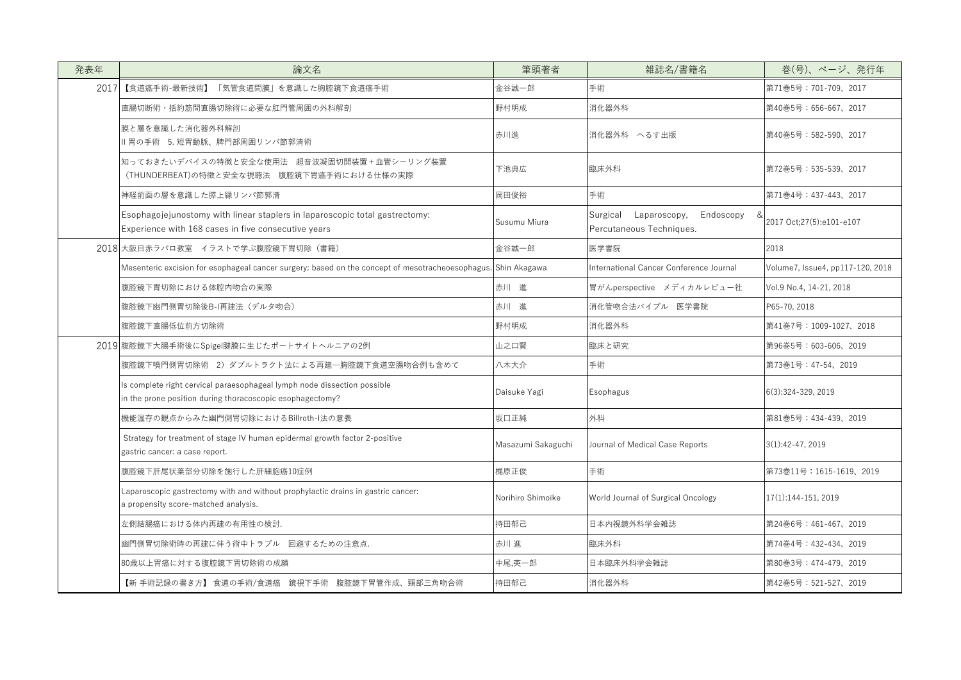| 発表年  | 論文名                                                                                                                                   | 筆頭著者               | 雑誌名/書籍名                                                                | 巻(号)、ページ、発行年                     |
|------|---------------------------------------------------------------------------------------------------------------------------------------|--------------------|------------------------------------------------------------------------|----------------------------------|
| 2017 | 【食道癌手術-最新技術】<br>「気管食道間膜」を意識した胸腔鏡下食道癌手術                                                                                                | 金谷誠一郎              | 手術                                                                     | 第71巻5号: 701-709、2017             |
|      | 直腸切断術・括約筋間直腸切除術に必要な肛門管周囲の外科解剖                                                                                                         | 野村明成               | 消化器外科                                                                  | 第40巻5号:656-667、2017              |
|      | 膜と層を意識した消化器外科解剖<br>Ⅱ 胃の手術 5. 短胃動脈、脾門部周囲リンパ節郭清術                                                                                        | 赤川進                | 消化器外科 へるす出版                                                            | 第40巻5号: 582-590、2017             |
|      | 知っておきたいデバイスの特徴と安全な使用法 超音波凝固切開装置+血管シーリング装置<br>(THUNDERBEAT)の特徴と安全な視聴法 腹腔鏡下胃癌手術における仕様の実際                                                | 下池典広               | 臨床外科                                                                   | 第72巻5号: 535-539、2017             |
|      | 神経前面の層を意識した膵上縁リンパ節郭清                                                                                                                  | 岡田俊裕               | 手術                                                                     | 第71巻4号: 437-443、2017             |
|      | Esophagojejunostomy with linear staplers in laparoscopic total gastrectomy:<br>Experience with 168 cases in five consecutive years    | Susumu Miura       | Endoscopy<br>Surgical<br>Laparoscopy,<br>&<br>Percutaneous Techniques. | 2017 Oct;27(5):e101-e107         |
|      | 2018 大阪日赤ラパロ教室 イラストで学ぶ腹腔鏡下胃切除(書籍)                                                                                                     | 金谷誠一郎              | 医学書院                                                                   | 2018                             |
|      | Mesenteric excision for esophageal cancer surgery: based on the concept of mesotracheoesophagus. Shin Akagawa                         |                    | International Cancer Conference Journal                                | Volume7, Issue4, pp117-120, 2018 |
|      | 腹腔鏡下胃切除における体腔内吻合の実際                                                                                                                   | 赤川 進               | 胃がんperspective メディカルレビュー社                                              | Vol.9 No.4, 14-21, 2018          |
|      | 腹腔鏡下幽門側胃切除後B-I再建法(デルタ吻合)                                                                                                              | 赤川 進               | 消化管吻合法バイブル 医学書院                                                        | P65-70, 2018                     |
|      | 腹腔鏡下直腸低位前方切除術                                                                                                                         | 野村明成               | 消化器外科                                                                  | 第41巻7号:1009-1027、2018            |
|      | 2019 腹腔鏡下大腸手術後にSpigel腱膜に生じたポートサイトヘルニアの2例                                                                                              | 山之口賢               | 臨床と研究                                                                  | 第96巻5号: 603-606、2019             |
|      | 腹腔鏡下噴門側胃切除術 2) ダブルトラクト法による再建─胸腔鏡下食道空腸吻合例も含めて                                                                                          | 八木大介               | 手術                                                                     | 第73巻1号: 47-54、2019               |
|      | Is complete right cervical paraesophageal lymph node dissection possible<br>in the prone position during thoracoscopic esophagectomy? | Daisuke Yagi       | Esophagus                                                              | 6(3):324-329, 2019               |
|      | 機能温存の観点からみた幽門側胃切除におけるBillroth-I法の意義                                                                                                   | 坂口正純               | 外科                                                                     | 第81巻5号: 434-439、2019             |
|      | Strategy for treatment of stage IV human epidermal growth factor 2-positive<br>gastric cancer: a case report.                         | Masazumi Sakaguchi | Journal of Medical Case Reports                                        | $3(1):42-47,2019$                |
|      | 腹腔鏡下肝尾状葉部分切除を施行した肝細胞癌10症例                                                                                                             | 梶原正俊               | 手術                                                                     | 第73巻11号: 1615-1619、2019          |
|      | Laparoscopic gastrectomy with and without prophylactic drains in gastric cancer:<br>a propensity score-matched analysis.              | Norihiro Shimoike  | World Journal of Surgical Oncology                                     | $17(1):144-151,2019$             |
|      | 左側結腸癌における体内再建の有用性の検討.                                                                                                                 | 持田郁己               | 日本内視鏡外科学会雑誌                                                            | 第24巻6号:461-467、2019              |
|      | 幽門側胃切除術時の再建に伴う術中トラブル 回避するための注意点.                                                                                                      | 赤川進                | 臨床外科                                                                   | 第74巻4号: 432-434、2019             |
|      | 80歳以上胃癌に対する腹腔鏡下胃切除術の成績                                                                                                                | 中尾,英一郎             | ┃日本臨床外科学会雑誌                                                            | 第80巻3号: 474-479、2019             |
|      | 【新 手術記録の書き方】 食道の手術/食道癌 鏡視下手術 腹腔鏡下胃管作成、頸部三角吻合術                                                                                         | 持田郁己               | 消化器外科                                                                  | 第42巻5号:521-527、2019              |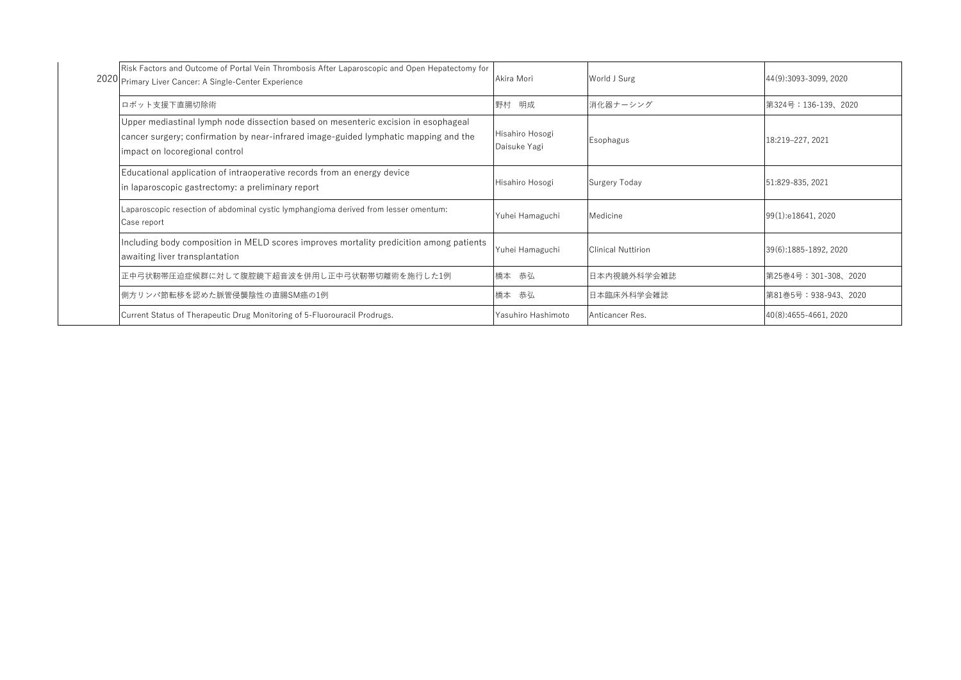|  | Risk Factors and Outcome of Portal Vein Thrombosis After Laparoscopic and Open Hepatectomy for<br>2020 Primary Liver Cancer: A Single-Center Experience                                                      | Akira Mori                      | World J Surg                | 44(9):3093-3099, 2020 |
|--|--------------------------------------------------------------------------------------------------------------------------------------------------------------------------------------------------------------|---------------------------------|-----------------------------|-----------------------|
|  | ロボット支援下直腸切除術                                                                                                                                                                                                 | 野村<br>明成                        | 消化器ナーシング                    | 第324号: 136-139、2020   |
|  | Upper mediastinal lymph node dissection based on mesenteric excision in esophageal<br>cancer surgery; confirmation by near-infrared image-guided lymphatic mapping and the<br>impact on locoregional control | Hisahiro Hosogi<br>Daisuke Yagi | Esophagus                   | 18:219-227, 2021      |
|  | Educational application of intraoperative records from an energy device<br>in laparoscopic gastrectomy: a preliminary report                                                                                 | Hisahiro Hosogi                 | Surgery Today               | 51:829-835, 2021      |
|  | Laparoscopic resection of abdominal cystic lymphangioma derived from lesser omentum:<br>Case report                                                                                                          | Yuhei Hamaguchi                 | Medicine                    | 99(1):e18641, 2020    |
|  | Including body composition in MELD scores improves mortality predicition among patients<br>awaiting liver transplantation                                                                                    | Yuhei Hamaguchi                 | <b>I</b> Clinical Nuttirion | 39(6):1885-1892, 2020 |
|  | ■正中弓状靭帯圧迫症候群に対して腹腔鏡下超音波を併用し正中弓状靭帯切離術を施行した1例                                                                                                                                                                  | 橋本 恭弘                           | 日本内視鏡外科学会雑誌                 | 第25巻4号:301-308、2020   |
|  | 側方リンパ節転移を認めた脈管侵襲陰性の直腸SM癌の1例                                                                                                                                                                                  | 橋本<br>恭弘                        | ┃日本臨床外科学会雑誌                 | 第81巻5号: 938-943、2020  |
|  | Current Status of Therapeutic Drug Monitoring of 5-Fluorouracil Prodrugs.                                                                                                                                    | Yasuhiro Hashimoto              | <b>Anticancer Res.</b>      | 40(8):4655-4661, 2020 |